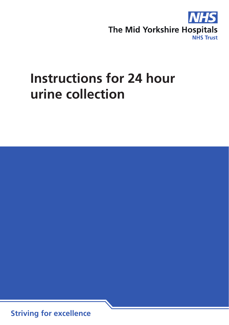

# **Instructions for 24 hour urine collection**

**Striving for excellence**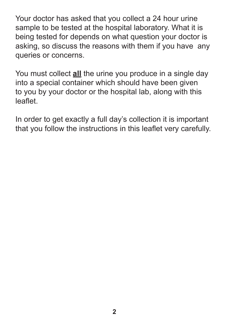Your doctor has asked that you collect a 24 hour urine sample to be tested at the hospital laboratory. What it is being tested for depends on what question your doctor is asking, so discuss the reasons with them if you have any queries or concerns.

You must collect **all** the urine you produce in a single day into a special container which should have been given to you by your doctor or the hospital lab, along with this leaflet.

In order to get exactly a full day's collection it is important that you follow the instructions in this leaflet very carefully.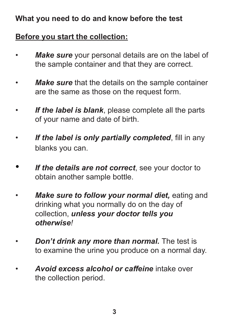## **What you need to do and know before the test**

#### **Before you start the collection:**

- *Make sure* your personal details are on the label of the sample container and that they are correct.
- *Make sure* that the details on the sample container are the same as those on the request form.
- *If the label is blank*, please complete all the parts of your name and date of birth.
- *If the label is only partially completed*, fill in any blanks you can.
- *If the details are not correct*, see your doctor to obtain another sample bottle.
- *Make sure to follow your normal diet,* eating and drinking what you normally do on the day of collection, *unless your doctor tells you otherwise!*
- *Don't drink any more than normal.* The test is to examine the urine you produce on a normal day.
- *Avoid excess alcohol or caffeine* intake over the collection period.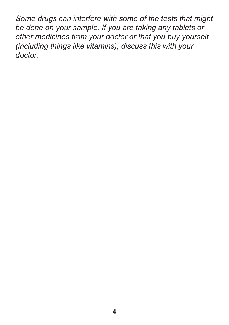*Some drugs can interfere with some of the tests that might be done on your sample. If you are taking any tablets or other medicines from your doctor or that you buy yourself (including things like vitamins), discuss this with your doctor.*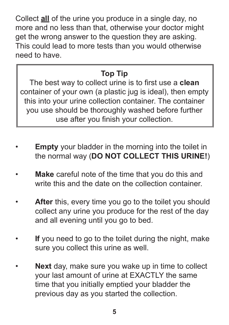Collect **all** of the urine you produce in a single day, no more and no less than that, otherwise your doctor might get the wrong answer to the question they are asking. This could lead to more tests than you would otherwise need to have.

# **Top Tip**

The best way to collect urine is to first use a **clean**  container of your own (a plastic jug is ideal), then empty this into your urine collection container. The container you use should be thoroughly washed before further use after you finish your collection.

- **Empty** your bladder in the morning into the toilet in the normal way (**DO NOT COLLECT THIS URINE!**)
- **Make** careful note of the time that you do this and write this and the date on the collection container.
- **After** this, every time you go to the toilet you should collect any urine you produce for the rest of the day and all evening until you go to bed.
- **If** you need to go to the toilet during the night, make sure you collect this urine as well.
- **Next** day, make sure you wake up in time to collect your last amount of urine at EXACTLY the same time that you initially emptied your bladder the previous day as you started the collection.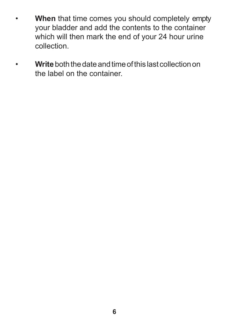- **When** that time comes you should completely empty your bladder and add the contents to the container which will then mark the end of your 24 hour urine collection.
- **Write** both the date and time of this last collection on the label on the container.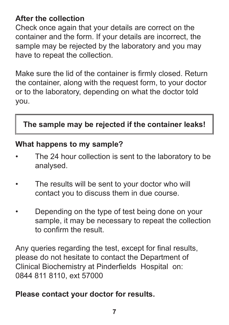# **After the collection**

Check once again that your details are correct on the container and the form. If your details are incorrect, the sample may be rejected by the laboratory and you may have to repeat the collection.

Make sure the lid of the container is firmly closed. Return the container, along with the request form, to your doctor or to the laboratory, depending on what the doctor told you.

## **The sample may be rejected if the container leaks!**

#### **What happens to my sample?**

- The 24 hour collection is sent to the laboratory to be analysed.
- The results will be sent to your doctor who will contact you to discuss them in due course.
- Depending on the type of test being done on your sample, it may be necessary to repeat the collection to confirm the result.

Any queries regarding the test, except for final results, please do not hesitate to contact the Department of Clinical Biochemistry at Pinderfields Hospital on: 0844 811 8110, ext 57000

#### **Please contact your doctor for results.**